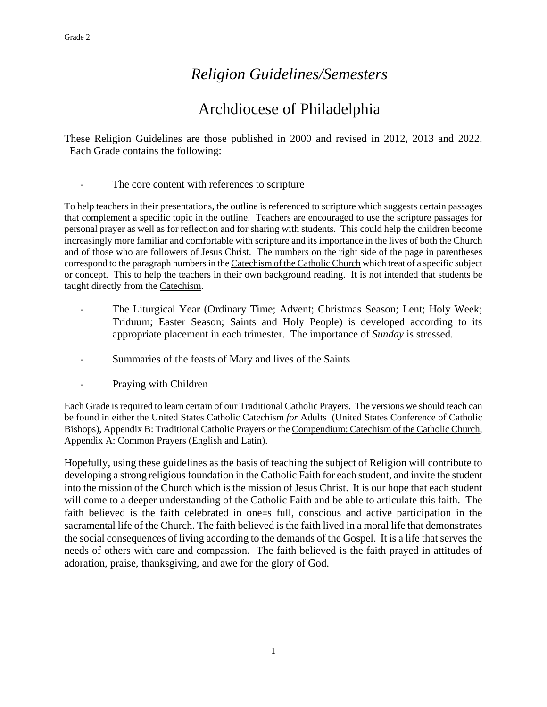### *Religion Guidelines/Semesters*

## Archdiocese of Philadelphia

These Religion Guidelines are those published in 2000 and revised in 2012, 2013 and 2022. Each Grade contains the following:

- The core content with references to scripture

To help teachers in their presentations, the outline is referenced to scripture which suggests certain passages that complement a specific topic in the outline. Teachers are encouraged to use the scripture passages for personal prayer as well as for reflection and for sharing with students. This could help the children become increasingly more familiar and comfortable with scripture and its importance in the lives of both the Church and of those who are followers of Jesus Christ. The numbers on the right side of the page in parentheses correspond to the paragraph numbersin the Catechism of the Catholic Church which treat of a specific subject or concept. This to help the teachers in their own background reading. It is not intended that students be taught directly from the Catechism.

- The Liturgical Year (Ordinary Time; Advent; Christmas Season; Lent; Holy Week; Triduum; Easter Season; Saints and Holy People) is developed according to its appropriate placement in each trimester. The importance of *Sunday* is stressed.
- Summaries of the feasts of Mary and lives of the Saints
- Praying with Children

Each Grade is required to learn certain of our Traditional Catholic Prayers. The versions we should teach can be found in either the United States Catholic Catechism *for* Adults (United States Conference of Catholic Bishops), Appendix B: Traditional Catholic Prayers *or* the Compendium: Catechism of the Catholic Church, Appendix A: Common Prayers (English and Latin).

Hopefully, using these guidelines as the basis of teaching the subject of Religion will contribute to developing a strong religious foundation in the Catholic Faith for each student, and invite the student into the mission of the Church which is the mission of Jesus Christ. It is our hope that each student will come to a deeper understanding of the Catholic Faith and be able to articulate this faith. The faith believed is the faith celebrated in one=s full, conscious and active participation in the sacramental life of the Church. The faith believed is the faith lived in a moral life that demonstrates the social consequences of living according to the demands of the Gospel. It is a life that serves the needs of others with care and compassion. The faith believed is the faith prayed in attitudes of adoration, praise, thanksgiving, and awe for the glory of God.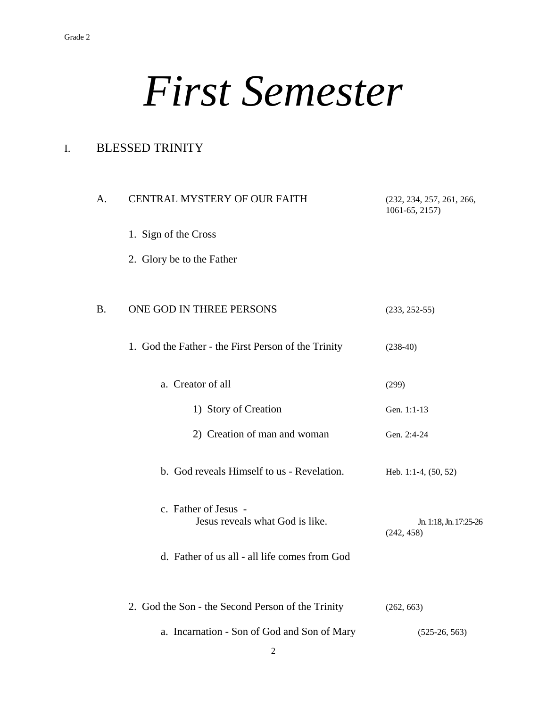# *First Semester*

### I. BLESSED TRINITY

| A. | <b>CENTRAL MYSTERY OF OUR FAITH</b>                     | (232, 234, 257, 261, 266,<br>1061-65, 2157) |
|----|---------------------------------------------------------|---------------------------------------------|
|    | 1. Sign of the Cross                                    |                                             |
|    | 2. Glory be to the Father                               |                                             |
|    |                                                         |                                             |
| B. | ONE GOD IN THREE PERSONS                                | $(233, 252-55)$                             |
|    | 1. God the Father - the First Person of the Trinity     | $(238-40)$                                  |
|    | a. Creator of all                                       | (299)                                       |
|    | 1) Story of Creation                                    | Gen. 1:1-13                                 |
|    | 2) Creation of man and woman                            | Gen. 2:4-24                                 |
|    | b. God reveals Himself to us - Revelation.              | Heb. 1:1-4, (50, 52)                        |
|    | c. Father of Jesus -<br>Jesus reveals what God is like. | Jn. 1:18, Jn. 17:25-26<br>(242, 458)        |
|    | d. Father of us all - all life comes from God           |                                             |
|    |                                                         |                                             |
|    | 2. God the Son - the Second Person of the Trinity       | (262, 663)                                  |
|    | a. Incarnation - Son of God and Son of Mary             | $(525-26, 563)$                             |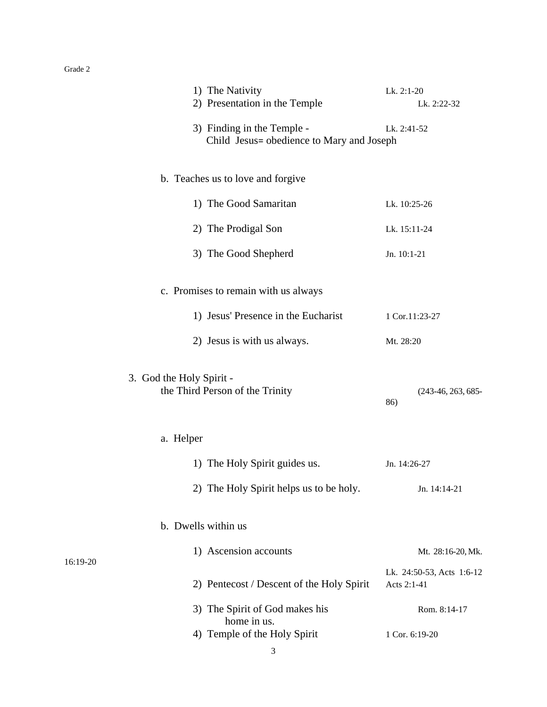|                                                                    |                          | 1) The Nativity<br>2) Presentation in the Temple                        | Lk. 2:1-20<br>Lk. 2:22-32                |  |
|--------------------------------------------------------------------|--------------------------|-------------------------------------------------------------------------|------------------------------------------|--|
|                                                                    |                          | 3) Finding in the Temple -<br>Child Jesus= obedience to Mary and Joseph | Lk. 2:41-52                              |  |
|                                                                    |                          | b. Teaches us to love and forgive                                       |                                          |  |
|                                                                    |                          | 1) The Good Samaritan                                                   | Lk. 10:25-26                             |  |
|                                                                    |                          | 2) The Prodigal Son                                                     | Lk. 15:11-24                             |  |
|                                                                    |                          | 3) The Good Shepherd                                                    | Jn. 10:1-21                              |  |
|                                                                    |                          | c. Promises to remain with us always                                    |                                          |  |
| 1) Jesus' Presence in the Eucharist<br>2) Jesus is with us always. |                          |                                                                         | 1 Cor.11:23-27                           |  |
|                                                                    |                          | Mt. 28:20                                                               |                                          |  |
|                                                                    | 3. God the Holy Spirit - | the Third Person of the Trinity                                         | $(243-46, 263, 685-$<br>86)              |  |
|                                                                    | a. Helper                |                                                                         |                                          |  |
|                                                                    |                          | 1) The Holy Spirit guides us.                                           | Jn. 14:26-27                             |  |
|                                                                    |                          | 2) The Holy Spirit helps us to be holy.                                 | Jn. 14:14-21                             |  |
|                                                                    | b. Dwells within us      |                                                                         |                                          |  |
| 16:19-20                                                           |                          | 1) Ascension accounts                                                   | Mt. 28:16-20, Mk.                        |  |
|                                                                    |                          | 2) Pentecost / Descent of the Holy Spirit                               | Lk. 24:50-53, Acts 1:6-12<br>Acts 2:1-41 |  |
|                                                                    |                          | 3) The Spirit of God makes his                                          | Rom. 8:14-17                             |  |
|                                                                    |                          | home in us.<br>4) Temple of the Holy Spirit                             | 1 Cor. 6:19-20                           |  |
|                                                                    |                          |                                                                         |                                          |  |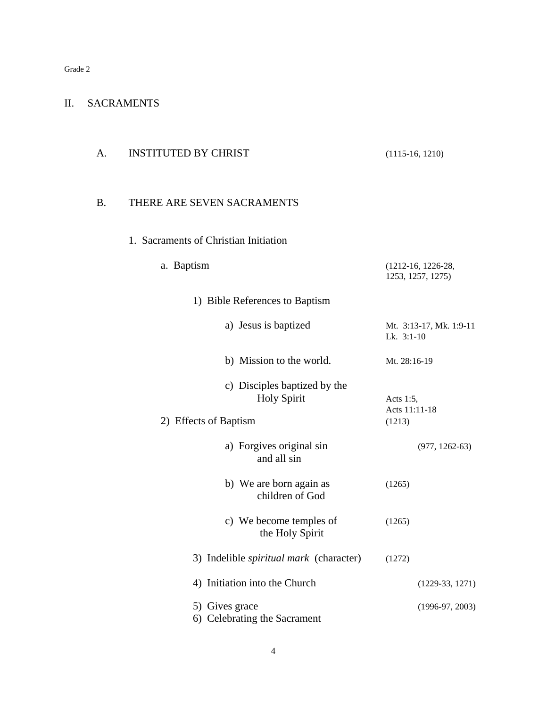#### II. SACRAMENTS

| A. | <b>INSTITUTED BY CHRIST</b>                                                 | $(1115-16, 1210)$                         |
|----|-----------------------------------------------------------------------------|-------------------------------------------|
| B. | THERE ARE SEVEN SACRAMENTS                                                  |                                           |
|    | 1. Sacraments of Christian Initiation                                       |                                           |
|    | a. Baptism                                                                  | $(1212-16, 1226-28,$<br>1253, 1257, 1275) |
|    | 1) Bible References to Baptism                                              |                                           |
|    | a) Jesus is baptized                                                        | Mt. 3:13-17, Mk. 1:9-11<br>Lk. 3:1-10     |
|    | b) Mission to the world.                                                    | Mt. 28:16-19                              |
|    | c) Disciples baptized by the<br><b>Holy Spirit</b><br>2) Effects of Baptism | Acts 1:5,<br>Acts 11:11-18<br>(1213)      |
|    | a) Forgives original sin<br>and all sin                                     | $(977, 1262-63)$                          |
|    | b) We are born again as<br>children of God                                  | (1265)                                    |
|    | c) We become temples of<br>the Holy Spirit                                  | (1265)                                    |
|    | 3) Indelible <i>spiritual mark</i> (character)                              | (1272)                                    |
|    | 4) Initiation into the Church                                               | $(1229-33, 1271)$                         |
|    | 5) Gives grace<br>6) Celebrating the Sacrament                              | $(1996-97, 2003)$                         |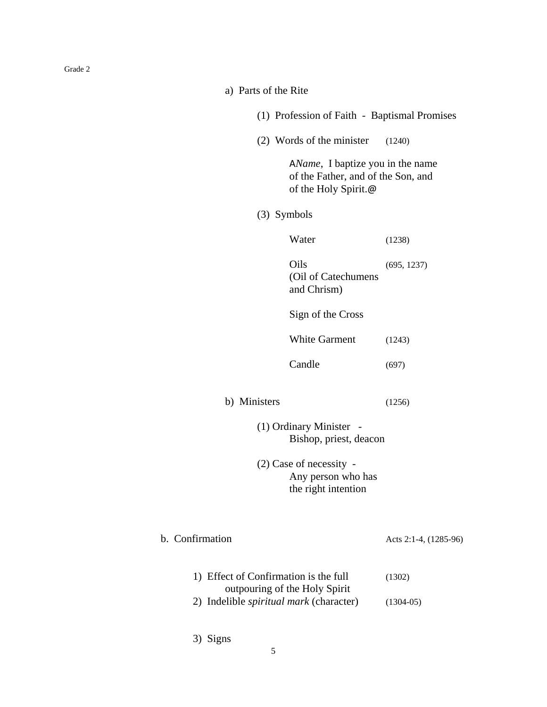| Grade 2 |  |  |
|---------|--|--|
|         |  |  |

| a) Parts of the Rite                                                                           |                       |
|------------------------------------------------------------------------------------------------|-----------------------|
| (1) Profession of Faith - Baptismal Promises                                                   |                       |
| (2) Words of the minister                                                                      | (1240)                |
| AName, I baptize you in the name<br>of the Father, and of the Son, and<br>of the Holy Spirit.@ |                       |
| $(3)$ Symbols                                                                                  |                       |
| Water                                                                                          | (1238)                |
| Oils<br>(Oil of Catechumens<br>and Chrism)                                                     | (695, 1237)           |
| Sign of the Cross                                                                              |                       |
| <b>White Garment</b>                                                                           | (1243)                |
| Candle                                                                                         | (697)                 |
| b) Ministers                                                                                   | (1256)                |
| (1) Ordinary Minister -<br>Bishop, priest, deacon                                              |                       |
| $(2)$ Case of necessity -<br>Any person who has<br>the right intention                         |                       |
| b. Confirmation                                                                                | Acts 2:1-4, (1285-96) |
| 1) Effect of Confirmation is the full                                                          | (1302)                |
| outpouring of the Holy Spirit<br>2) Indelible <i>spiritual mark</i> (character)                | $(1304-05)$           |
| 3) Signs                                                                                       |                       |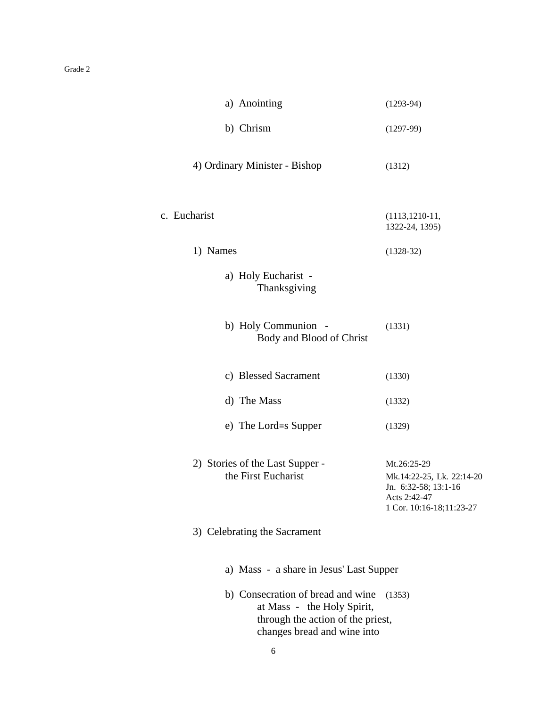| a) Anointing                                                                                                                        | $(1293-94)$                                                                                                  |
|-------------------------------------------------------------------------------------------------------------------------------------|--------------------------------------------------------------------------------------------------------------|
| b) Chrism                                                                                                                           | $(1297-99)$                                                                                                  |
| 4) Ordinary Minister - Bishop                                                                                                       | (1312)                                                                                                       |
| c. Eucharist                                                                                                                        | $(1113, 1210-11,$<br>1322-24, 1395)                                                                          |
| 1) Names                                                                                                                            | $(1328-32)$                                                                                                  |
| a) Holy Eucharist -<br>Thanksgiving                                                                                                 |                                                                                                              |
| b) Holy Communion -<br>Body and Blood of Christ                                                                                     | (1331)                                                                                                       |
| c) Blessed Sacrament                                                                                                                | (1330)                                                                                                       |
| d) The Mass                                                                                                                         | (1332)                                                                                                       |
| e) The Lord=s Supper                                                                                                                | (1329)                                                                                                       |
| 2) Stories of the Last Supper -<br>the First Eucharist                                                                              | Mt.26:25-29<br>Mk.14:22-25, Lk. 22:14-20<br>Jn. 6:32-58; 13:1-16<br>Acts 2:42-47<br>1 Cor. 10:16-18;11:23-27 |
| 3) Celebrating the Sacrament                                                                                                        |                                                                                                              |
| a) Mass - a share in Jesus' Last Supper                                                                                             |                                                                                                              |
| b) Consecration of bread and wine<br>at Mass - the Holy Spirit,<br>through the action of the priest,<br>changes bread and wine into | (1353)                                                                                                       |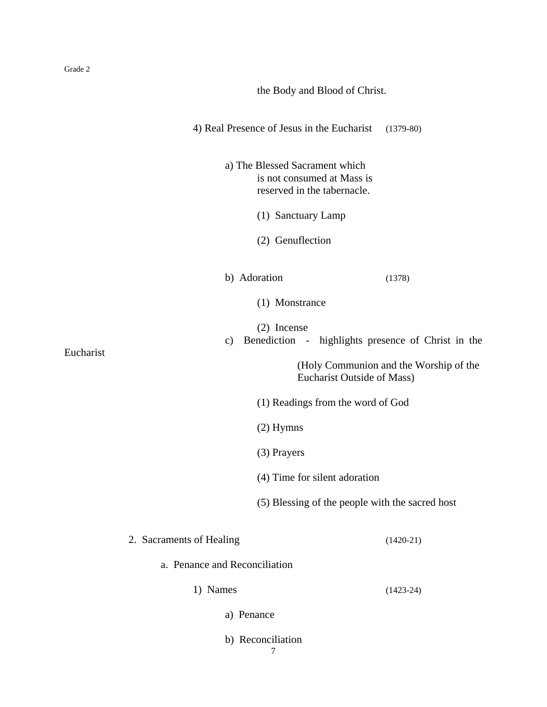|           | the Body and Blood of Christ.                                            |                                                                      |  |
|-----------|--------------------------------------------------------------------------|----------------------------------------------------------------------|--|
|           | 4) Real Presence of Jesus in the Eucharist                               | $(1379-80)$                                                          |  |
|           | a) The Blessed Sacrament which<br>(1) Sanctuary Lamp<br>(2) Genuflection | is not consumed at Mass is<br>reserved in the tabernacle.            |  |
|           | b) Adoration                                                             | (1378)                                                               |  |
|           | (1) Monstrance                                                           |                                                                      |  |
|           | (2) Incense<br>$\mathbf{c})$                                             | Benediction - highlights presence of Christ in the                   |  |
| Eucharist |                                                                          | (Holy Communion and the Worship of the<br>Eucharist Outside of Mass) |  |
|           |                                                                          | (1) Readings from the word of God                                    |  |
|           | $(2)$ Hymns                                                              |                                                                      |  |
|           | (3) Prayers                                                              |                                                                      |  |
|           |                                                                          | (4) Time for silent adoration                                        |  |
|           |                                                                          | (5) Blessing of the people with the sacred host                      |  |
|           | 2. Sacraments of Healing                                                 | $(1420-21)$                                                          |  |
|           | a. Penance and Reconciliation                                            |                                                                      |  |
|           | 1) Names                                                                 | $(1423-24)$                                                          |  |
|           | a) Penance                                                               |                                                                      |  |
|           | b) Reconciliation<br>7                                                   |                                                                      |  |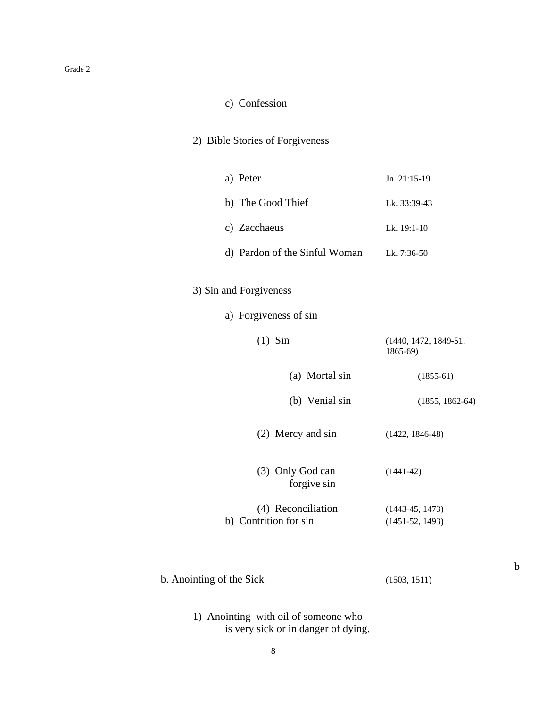#### c) Confession

#### 2) Bible Stories of Forgiveness

| a) Peter                      | Jn. 21:15-19  |
|-------------------------------|---------------|
| b) The Good Thief             | Lk. 33:39-43  |
| c) Zacchaeus                  | Lk. $19:1-10$ |
| d) Pardon of the Sinful Woman | Lk. 7:36-50   |

#### 3) Sin and Forgiveness

| a) Forgiveness of sin |  |
|-----------------------|--|
|                       |  |
|                       |  |

| $(1)$ Sin                                   | $(1440, 1472, 1849-51,$<br>$1865-69$   |
|---------------------------------------------|----------------------------------------|
| (a) Mortal sin                              | $(1855-61)$                            |
| (b) Venial sin                              | $(1855, 1862-64)$                      |
| (2) Mercy and sin                           | $(1422, 1846-48)$                      |
| (3) Only God can<br>forgive sin             | $(1441-42)$                            |
| (4) Reconciliation<br>b) Contrition for sin | $(1443-45, 1473)$<br>$(1451-52, 1493)$ |

b. Anointing of the Sick (1503, 1511)

1) Anointing with oil of someone who is very sick or in danger of dying.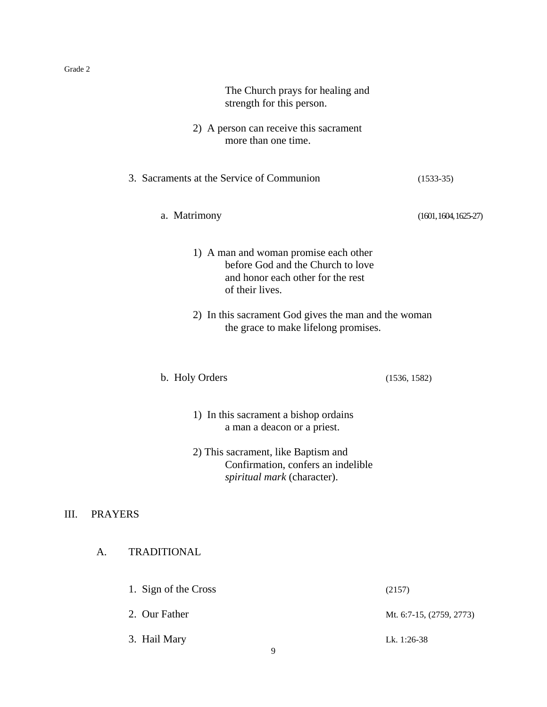| The Church prays for healing and<br>strength for this person.                                                                      |                          |
|------------------------------------------------------------------------------------------------------------------------------------|--------------------------|
| 2) A person can receive this sacrament<br>more than one time.                                                                      |                          |
| 3. Sacraments at the Service of Communion                                                                                          | $(1533-35)$              |
| a. Matrimony                                                                                                                       | $(1601, 1604, 1625-27)$  |
| 1) A man and woman promise each other<br>before God and the Church to love<br>and honor each other for the rest<br>of their lives. |                          |
| 2) In this sacrament God gives the man and the woman<br>the grace to make lifelong promises.                                       |                          |
| b. Holy Orders                                                                                                                     | (1536, 1582)             |
| 1) In this sacrament a bishop ordains<br>a man a deacon or a priest.                                                               |                          |
| 2) This sacrament, like Baptism and<br>Confirmation, confers an indelible<br>spiritual mark (character).                           |                          |
| III.<br><b>PRAYERS</b>                                                                                                             |                          |
| <b>TRADITIONAL</b><br>A.                                                                                                           |                          |
| 1. Sign of the Cross                                                                                                               | (2157)                   |
| 2. Our Father                                                                                                                      | Mt. 6:7-15, (2759, 2773) |
| 3. Hail Mary<br>9                                                                                                                  | Lk. 1:26-38              |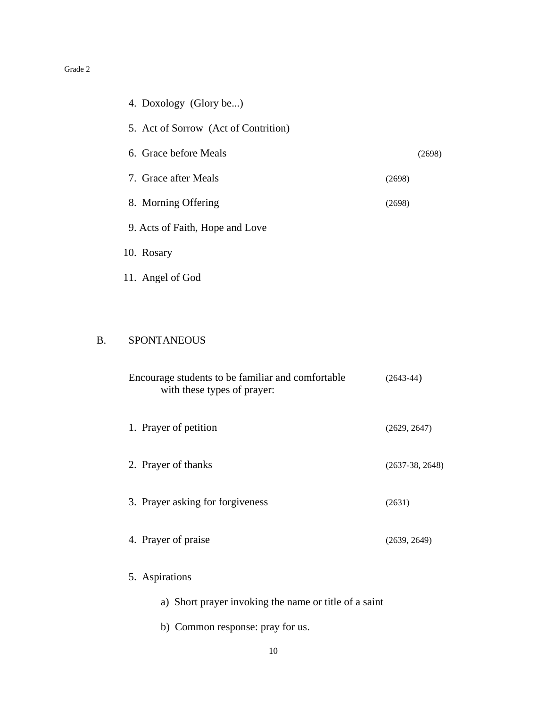| 4. Doxology (Glory be)               |        |
|--------------------------------------|--------|
| 5. Act of Sorrow (Act of Contrition) |        |
| 6. Grace before Meals                | (2698) |
| 7. Grace after Meals                 | (2698) |
| 8. Morning Offering                  | (2698) |
| 9. Acts of Faith, Hope and Love      |        |
| 10. Rosary                           |        |
| 11. Angel of God                     |        |

#### B. SPONTANEOUS

| Encourage students to be familiar and comfortable<br>with these types of prayer: | $(2643-44)$       |
|----------------------------------------------------------------------------------|-------------------|
| 1. Prayer of petition                                                            | (2629, 2647)      |
| 2. Prayer of thanks                                                              | $(2637-38, 2648)$ |
| 3. Prayer asking for forgiveness                                                 | (2631)            |
| 4. Prayer of praise                                                              | (2639, 2649)      |
| 5. Aspirations                                                                   |                   |
| a) Short prayer invoking the name or title of a saint                            |                   |

b) Common response: pray for us.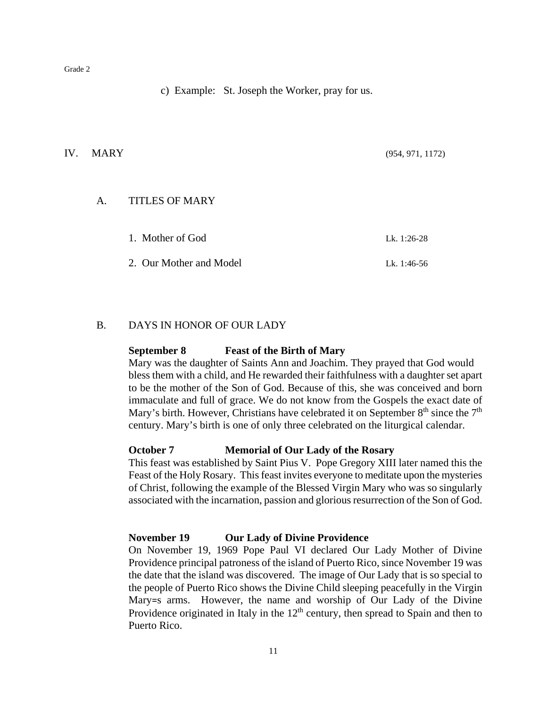c) Example: St. Joseph the Worker, pray for us.

#### IV. MARY (954, 971, 1172)

#### A. TITLES OF MARY

| 1. Mother of God        | Lk. 1:26-28 |
|-------------------------|-------------|
| 2. Our Mother and Model | Lk. 1:46-56 |

#### B. DAYS IN HONOR OF OUR LADY

#### **September 8 Feast of the Birth of Mary**

Mary was the daughter of Saints Ann and Joachim. They prayed that God would bless them with a child, and He rewarded their faithfulness with a daughter set apart to be the mother of the Son of God. Because of this, she was conceived and born immaculate and full of grace. We do not know from the Gospels the exact date of Mary's birth. However, Christians have celebrated it on September  $8<sup>th</sup>$  since the  $7<sup>th</sup>$ century. Mary's birth is one of only three celebrated on the liturgical calendar.

#### **October 7 Memorial of Our Lady of the Rosary**

This feast was established by Saint Pius V. Pope Gregory XIII later named this the Feast of the Holy Rosary. This feast invites everyone to meditate upon the mysteries of Christ, following the example of the Blessed Virgin Mary who was so singularly associated with the incarnation, passion and glorious resurrection of the Son of God.

#### **November 19 Our Lady of Divine Providence**

On November 19, 1969 Pope Paul VI declared Our Lady Mother of Divine Providence principal patroness of the island of Puerto Rico, since November 19 was the date that the island was discovered. The image of Our Lady that is so special to the people of Puerto Rico shows the Divine Child sleeping peacefully in the Virgin Mary=s arms. However, the name and worship of Our Lady of the Divine Providence originated in Italy in the  $12<sup>th</sup>$  century, then spread to Spain and then to Puerto Rico.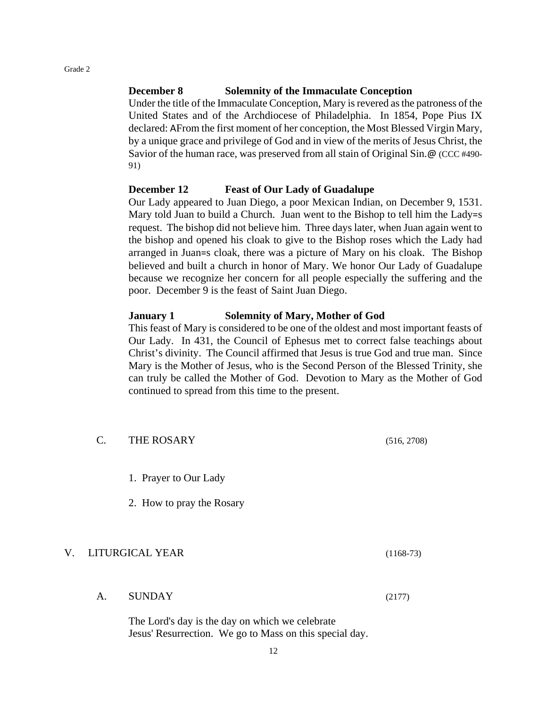#### **December 8 Solemnity of the Immaculate Conception**

Under the title of the Immaculate Conception, Mary is revered as the patroness of the United States and of the Archdiocese of Philadelphia. In 1854, Pope Pius IX declared: AFrom the first moment of her conception, the Most Blessed Virgin Mary, by a unique grace and privilege of God and in view of the merits of Jesus Christ, the Savior of the human race, was preserved from all stain of Original Sin.@ (CCC #490- 91)

#### **December 12 Feast of Our Lady of Guadalupe**

Our Lady appeared to Juan Diego, a poor Mexican Indian, on December 9, 1531. Mary told Juan to build a Church. Juan went to the Bishop to tell him the Lady=s request. The bishop did not believe him. Three days later, when Juan again went to the bishop and opened his cloak to give to the Bishop roses which the Lady had arranged in Juan=s cloak, there was a picture of Mary on his cloak. The Bishop believed and built a church in honor of Mary. We honor Our Lady of Guadalupe because we recognize her concern for all people especially the suffering and the poor. December 9 is the feast of Saint Juan Diego.

#### **January 1 Solemnity of Mary, Mother of God**

This feast of Mary is considered to be one of the oldest and most important feasts of Our Lady. In 431, the Council of Ephesus met to correct false teachings about Christ's divinity. The Council affirmed that Jesus is true God and true man. Since Mary is the Mother of Jesus, who is the Second Person of the Blessed Trinity, she can truly be called the Mother of God. Devotion to Mary as the Mother of God continued to spread from this time to the present.

|    | $\mathcal{C}$ . | THE ROSARY                                                                                                 | (516, 2708) |
|----|-----------------|------------------------------------------------------------------------------------------------------------|-------------|
|    |                 | 1. Prayer to Our Lady                                                                                      |             |
|    |                 | 2. How to pray the Rosary                                                                                  |             |
| V. |                 | LITURGICAL YEAR                                                                                            | $(1168-73)$ |
|    | A.              | <b>SUNDAY</b>                                                                                              | (2177)      |
|    |                 | The Lord's day is the day on which we celebrate<br>Jesus' Resurrection. We go to Mass on this special day. |             |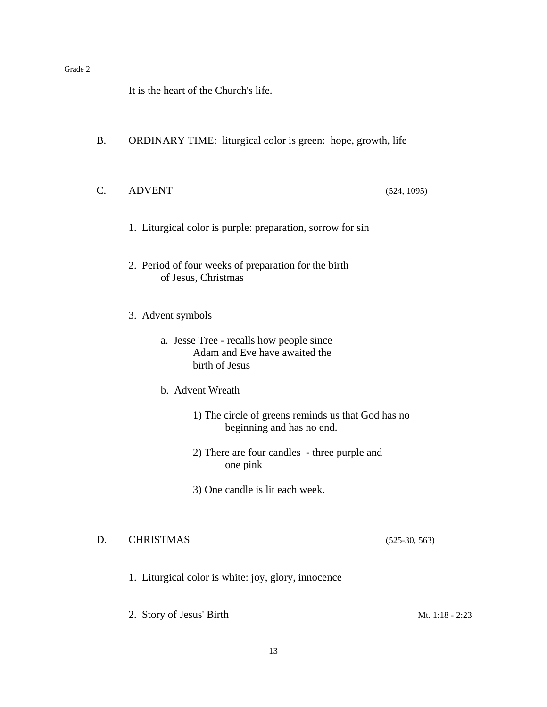It is the heart of the Church's life.

- B. ORDINARY TIME: liturgical color is green: hope, growth, life
- C. ADVENT (524, 1095)

- 1. Liturgical color is purple: preparation, sorrow for sin
- 2. Period of four weeks of preparation for the birth of Jesus, Christmas
- 3. Advent symbols
	- a. Jesse Tree recalls how people since Adam and Eve have awaited the birth of Jesus
	- b. Advent Wreath
		- 1) The circle of greens reminds us that God has no beginning and has no end.
		- 2) There are four candles three purple and one pink
		- 3) One candle is lit each week.

#### D. CHRISTMAS (525-30, 563)

- 1. Liturgical color is white: joy, glory, innocence
- 2. Story of Jesus' Birth Mt. 1:18 2:23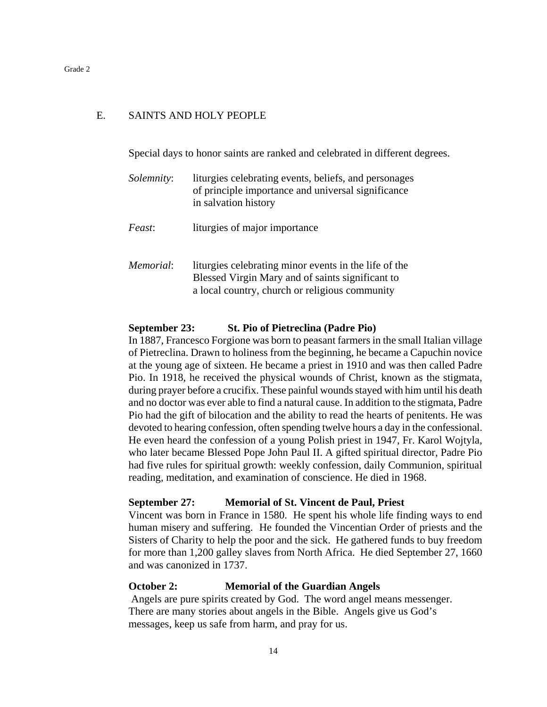#### E. SAINTS AND HOLY PEOPLE

Special days to honor saints are ranked and celebrated in different degrees.

| <i>Solemnity:</i> | liturgies celebrating events, beliefs, and personages<br>of principle importance and universal significance<br>in salvation history                         |
|-------------------|-------------------------------------------------------------------------------------------------------------------------------------------------------------|
| Feast:            | liturgies of major importance                                                                                                                               |
| <i>Memorial:</i>  | liturgies celebrating minor events in the life of the<br>Blessed Virgin Mary and of saints significant to<br>a local country, church or religious community |

#### **September 23: St. Pio of Pietreclina (Padre Pio)**

In 1887, Francesco Forgione was born to peasant farmers in the small Italian village of Pietreclina. Drawn to holiness from the beginning, he became a Capuchin novice at the young age of sixteen. He became a priest in 1910 and was then called Padre Pio. In 1918, he received the physical wounds of Christ, known as the stigmata, during prayer before a crucifix. These painful wounds stayed with him until his death and no doctor was ever able to find a natural cause. In addition to the stigmata, Padre Pio had the gift of bilocation and the ability to read the hearts of penitents. He was devoted to hearing confession, often spending twelve hours a day in the confessional. He even heard the confession of a young Polish priest in 1947, Fr. Karol Wojtyla, who later became Blessed Pope John Paul II. A gifted spiritual director, Padre Pio had five rules for spiritual growth: weekly confession, daily Communion, spiritual reading, meditation, and examination of conscience. He died in 1968.

#### **September 27: Memorial of St. Vincent de Paul, Priest**

Vincent was born in France in 1580. He spent his whole life finding ways to end human misery and suffering. He founded the Vincentian Order of priests and the Sisters of Charity to help the poor and the sick. He gathered funds to buy freedom for more than 1,200 galley slaves from North Africa. He died September 27, 1660 and was canonized in 1737.

#### **October 2: Memorial of the Guardian Angels**

Angels are pure spirits created by God. The word angel means messenger. There are many stories about angels in the Bible. Angels give us God's messages, keep us safe from harm, and pray for us.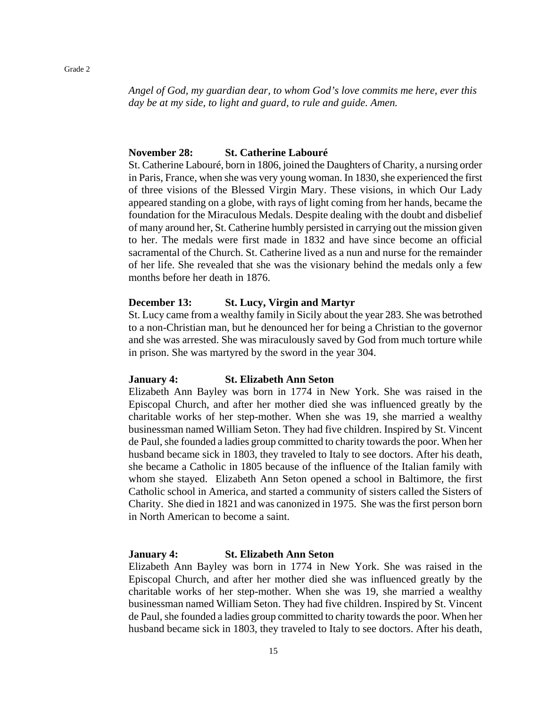*Angel of God, my guardian dear, to whom God's love commits me here, ever this day be at my side, to light and guard, to rule and guide. Amen.*

#### **November 28: St. Catherine Labouré**

St. Catherine Labouré, born in 1806, joined the Daughters of Charity, a nursing order in Paris, France, when she was very young woman. In 1830, she experienced the first of three visions of the Blessed Virgin Mary. These visions, in which Our Lady appeared standing on a globe, with rays of light coming from her hands, became the foundation for the Miraculous Medals. Despite dealing with the doubt and disbelief of many around her, St. Catherine humbly persisted in carrying out the mission given to her. The medals were first made in 1832 and have since become an official sacramental of the Church. St. Catherine lived as a nun and nurse for the remainder of her life. She revealed that she was the visionary behind the medals only a few months before her death in 1876.

#### **December 13: St. Lucy, Virgin and Martyr**

St. Lucy came from a wealthy family in Sicily about the year 283. She was betrothed to a non-Christian man, but he denounced her for being a Christian to the governor and she was arrested. She was miraculously saved by God from much torture while in prison. She was martyred by the sword in the year 304.

#### **January 4: St. Elizabeth Ann Seton**

Elizabeth Ann Bayley was born in 1774 in New York. She was raised in the Episcopal Church, and after her mother died she was influenced greatly by the charitable works of her step-mother. When she was 19, she married a wealthy businessman named William Seton. They had five children. Inspired by St. Vincent de Paul, she founded a ladies group committed to charity towards the poor. When her husband became sick in 1803, they traveled to Italy to see doctors. After his death, she became a Catholic in 1805 because of the influence of the Italian family with whom she stayed. Elizabeth Ann Seton opened a school in Baltimore, the first Catholic school in America, and started a community of sisters called the Sisters of Charity. She died in 1821 and was canonized in 1975. She was the first person born in North American to become a saint.

#### **January 4: St. Elizabeth Ann Seton**

Elizabeth Ann Bayley was born in 1774 in New York. She was raised in the Episcopal Church, and after her mother died she was influenced greatly by the charitable works of her step-mother. When she was 19, she married a wealthy businessman named William Seton. They had five children. Inspired by St. Vincent de Paul, she founded a ladies group committed to charity towards the poor. When her husband became sick in 1803, they traveled to Italy to see doctors. After his death,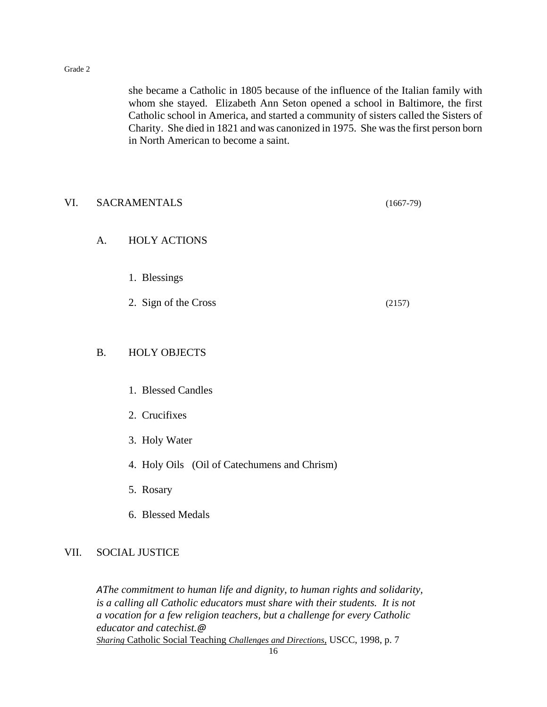she became a Catholic in 1805 because of the influence of the Italian family with whom she stayed. Elizabeth Ann Seton opened a school in Baltimore, the first Catholic school in America, and started a community of sisters called the Sisters of Charity. She died in 1821 and was canonized in 1975. She was the first person born in North American to become a saint.

| VI. | <b>SACRAMENTALS</b>  |                                              |        |
|-----|----------------------|----------------------------------------------|--------|
|     | $A_{\cdot}$          | <b>HOLY ACTIONS</b>                          |        |
|     | 1. Blessings         |                                              |        |
|     | 2. Sign of the Cross |                                              | (2157) |
|     | <b>B.</b>            | <b>HOLY OBJECTS</b>                          |        |
|     |                      | 1. Blessed Candles                           |        |
|     |                      | 2. Crucifixes                                |        |
|     |                      | 3. Holy Water                                |        |
|     |                      | 4. Holy Oils (Oil of Catechumens and Chrism) |        |

- 5. Rosary
- 6. Blessed Medals

#### VII. SOCIAL JUSTICE

*AThe commitment to human life and dignity, to human rights and solidarity, is a calling all Catholic educators must share with their students. It is not a vocation for a few religion teachers, but a challenge for every Catholic educator and catechist.@ Sharing* Catholic Social Teaching *Challenges and Directions,* USCC, 1998, p. 7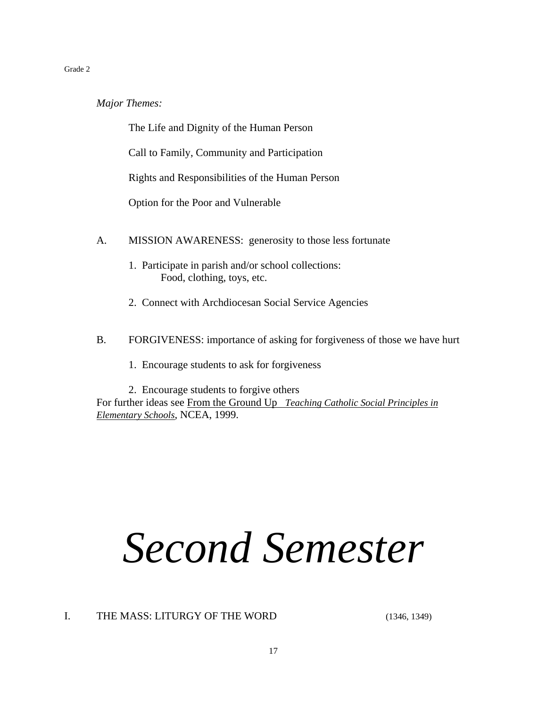*Major Themes:*

The Life and Dignity of the Human Person

Call to Family, Community and Participation

Rights and Responsibilities of the Human Person

Option for the Poor and Vulnerable

- A. MISSION AWARENESS: generosity to those less fortunate
	- 1. Participate in parish and/or school collections: Food, clothing, toys, etc.
	- 2. Connect with Archdiocesan Social Service Agencies
- B. FORGIVENESS: importance of asking for forgiveness of those we have hurt
	- 1. Encourage students to ask for forgiveness

2. Encourage students to forgive others For further ideas see From the Ground Up *Teaching Catholic Social Principles in Elementary Schools*, NCEA, 1999.

# *Second Semester*

I. THE MASS: LITURGY OF THE WORD (1346, 1349)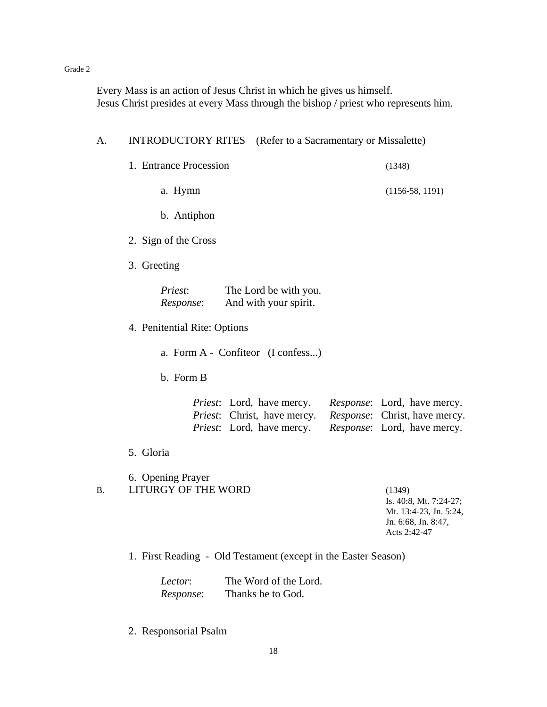Every Mass is an action of Jesus Christ in which he gives us himself. Jesus Christ presides at every Mass through the bishop / priest who represents him.

| A.        | <b>INTRODUCTORY RITES</b>                       | (Refer to a Sacramentary or Missalette)                                                                       |                                                                                                             |
|-----------|-------------------------------------------------|---------------------------------------------------------------------------------------------------------------|-------------------------------------------------------------------------------------------------------------|
|           | 1. Entrance Procession                          |                                                                                                               | (1348)                                                                                                      |
|           | a. Hymn                                         |                                                                                                               | $(1156-58, 1191)$                                                                                           |
|           | b. Antiphon                                     |                                                                                                               |                                                                                                             |
|           | 2. Sign of the Cross                            |                                                                                                               |                                                                                                             |
|           | 3. Greeting                                     |                                                                                                               |                                                                                                             |
|           | Priest:<br>Response:                            | The Lord be with you.<br>And with your spirit.                                                                |                                                                                                             |
|           | 4. Penitential Rite: Options                    |                                                                                                               |                                                                                                             |
|           |                                                 | a. Form A - Confiteor (I confess)                                                                             |                                                                                                             |
|           | b. Form B                                       |                                                                                                               |                                                                                                             |
|           |                                                 | <i>Priest</i> : Lord, have mercy.<br><i>Priest</i> : Christ, have mercy.<br><i>Priest</i> : Lord, have mercy. | <i>Response</i> : Lord, have mercy.<br>Response: Christ, have mercy.<br><i>Response</i> : Lord, have mercy. |
|           | 5. Gloria                                       |                                                                                                               |                                                                                                             |
| <b>B.</b> | 6. Opening Prayer<br><b>LITURGY OF THE WORD</b> |                                                                                                               | (1349)<br>Is. 40:8, Mt. 7:24-27;<br>Mt. 13:4-23, Jn. 5:24,<br>Jn. 6:68, Jn. 8:47,<br>Acts 2:42-47           |
|           |                                                 | 1. First Reading - Old Testament (except in the Easter Season)                                                |                                                                                                             |
|           | Lector:<br>Response:                            | The Word of the Lord.<br>Thanks be to God.                                                                    |                                                                                                             |

2. Responsorial Psalm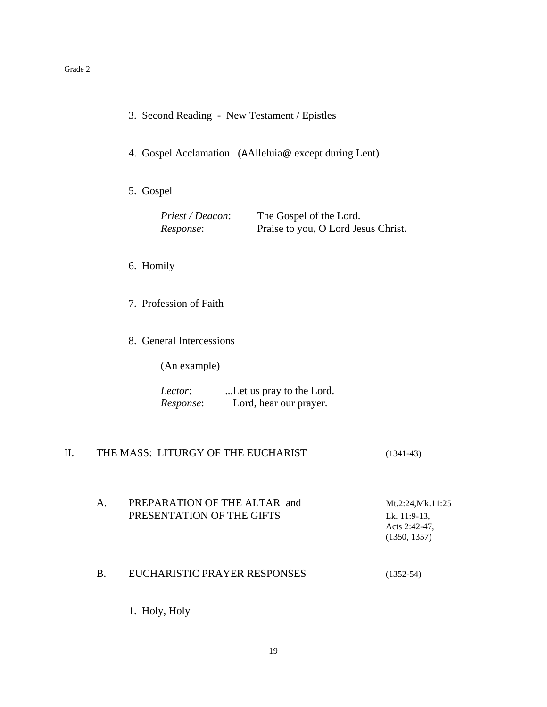|  |  |  |  | 3. Second Reading - New Testament / Epistles |  |
|--|--|--|--|----------------------------------------------|--|
|--|--|--|--|----------------------------------------------|--|

- 4. Gospel Acclamation (AAlleluia@ except during Lent)
- 5. Gospel

| Priest / Deacon: | The Gospel of the Lord.             |
|------------------|-------------------------------------|
| Response:        | Praise to you, O Lord Jesus Christ. |

#### 6. Homily

- 7. Profession of Faith
- 8. General Intercessions

(An example)

| Lector:   | Let us pray to the Lord. |
|-----------|--------------------------|
| Response: | Lord, hear our prayer.   |

#### II. THE MASS: LITURGY OF THE EUCHARIST (1341-43)

A. PREPARATION OF THE ALTAR and Mt.2:24,Mk.11:25 PRESENTATION OF THE GIFTS Lk. 11:9-13, Acts 2:42-47, (1350, 1357)

#### B. EUCHARISTIC PRAYER RESPONSES (1352-54)

1. Holy, Holy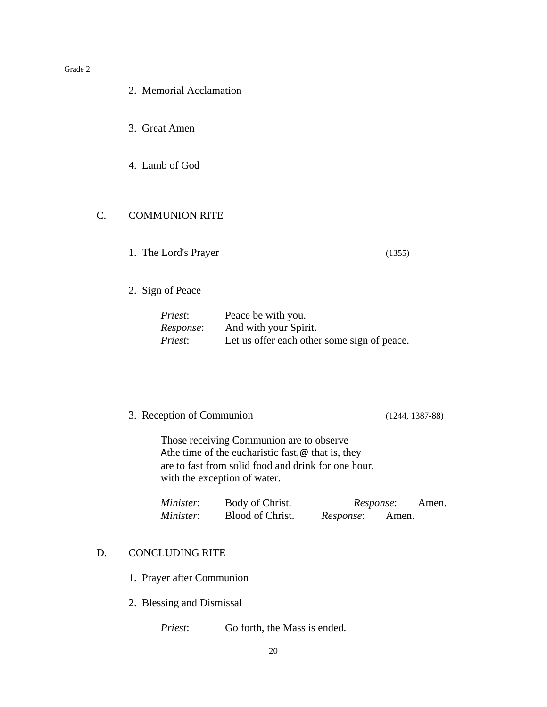#### 2. Memorial Acclamation

- 3. Great Amen
- 4. Lamb of God

#### C. COMMUNION RITE

- 1. The Lord's Prayer (1355)
- 2. Sign of Peace

| Priest:   | Peace be with you.                          |
|-----------|---------------------------------------------|
| Response: | And with your Spirit.                       |
| Priest:   | Let us offer each other some sign of peace. |

3. Reception of Communion (1244, 1387-88)

Those receiving Communion are to observe Athe time of the eucharistic fast, $\omega$  that is, they are to fast from solid food and drink for one hour, with the exception of water.

| Minister: | Body of Christ.  | <i>Response:</i> |       | Amen. |
|-----------|------------------|------------------|-------|-------|
| Minister: | Blood of Christ. | Response:        | Amen. |       |

#### D. CONCLUDING RITE

- 1. Prayer after Communion
- 2. Blessing and Dismissal

*Priest*: Go forth, the Mass is ended.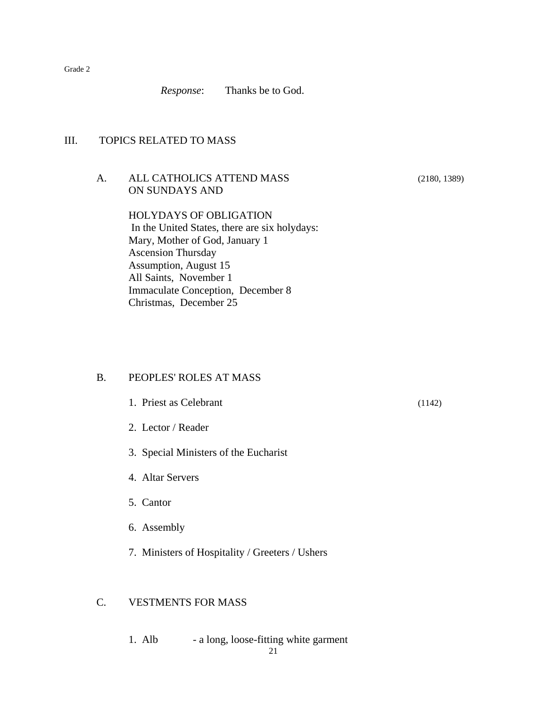*Response*: Thanks be to God.

#### III. TOPICS RELATED TO MASS

#### A. ALL CATHOLICS ATTEND MASS (2180, 1389) ON SUNDAYS AND

HOLYDAYS OF OBLIGATION In the United States, there are six holydays: Mary, Mother of God, January 1 Ascension Thursday Assumption, August 15 All Saints, November 1 Immaculate Conception, December 8 Christmas, December 25

#### B. PEOPLES' ROLES AT MASS

- 1. Priest as Celebrant (1142)
- 2. Lector / Reader
- 3. Special Ministers of the Eucharist
- 4. Altar Servers
- 5. Cantor
- 6. Assembly
- 7. Ministers of Hospitality / Greeters / Ushers

#### C. VESTMENTS FOR MASS

1. Alb - a long, loose-fitting white garment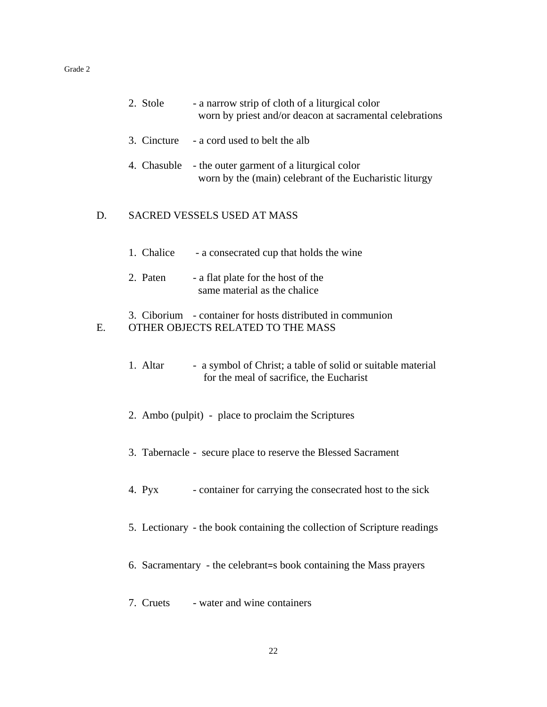|    | 2. Stole    | - a narrow strip of cloth of a liturgical color<br>worn by priest and/or deacon at sacramental celebrations |
|----|-------------|-------------------------------------------------------------------------------------------------------------|
|    | 3. Cincture | - a cord used to belt the alb                                                                               |
|    | 4. Chasuble | - the outer garment of a liturgical color<br>worn by the (main) celebrant of the Eucharistic liturgy        |
| D. |             | <b>SACRED VESSELS USED AT MASS</b>                                                                          |
|    | 1. Chalice  | - a consecrated cup that holds the wine                                                                     |
|    | 2. Paten    | - a flat plate for the host of the<br>same material as the chalice                                          |
| E. |             | 3. Ciborium - container for hosts distributed in communion<br>OTHER OBJECTS RELATED TO THE MASS             |
|    | 1. Altar    | - a symbol of Christ; a table of solid or suitable material<br>for the meal of sacrifice, the Eucharist     |
|    |             | 2. Ambo (pulpit) - place to proclaim the Scriptures                                                         |
|    |             | 3. Tabernacle - secure place to reserve the Blessed Sacrament                                               |
|    | 4. Pyx      | - container for carrying the consecrated host to the sick                                                   |
|    |             | 5. Lectionary - the book containing the collection of Scripture readings                                    |
|    |             | 6. Sacramentary - the celebrant=s book containing the Mass prayers                                          |
|    | 7. Cruets   | - water and wine containers                                                                                 |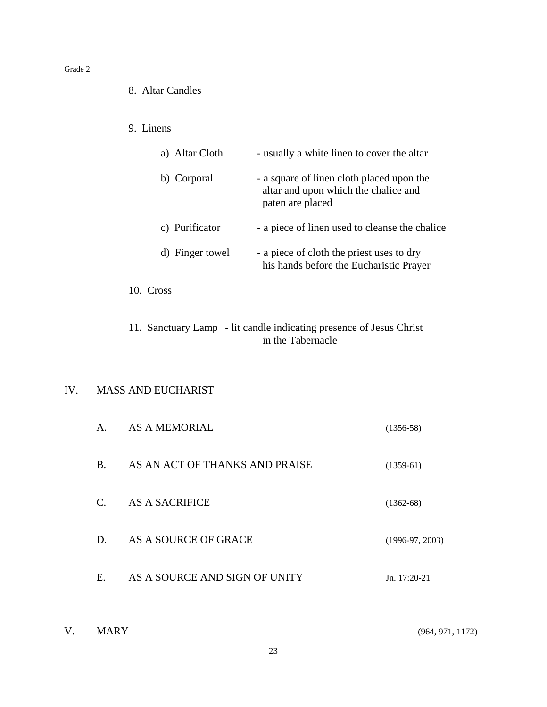- 8. Altar Candles
- 9. Linens

| a) Altar Cloth  | - usually a white linen to cover the altar                                                            |
|-----------------|-------------------------------------------------------------------------------------------------------|
| b) Corporal     | - a square of linen cloth placed upon the<br>altar and upon which the chalice and<br>paten are placed |
| c) Purificator  | - a piece of linen used to cleanse the chalice                                                        |
| d) Finger towel | - a piece of cloth the priest uses to dry<br>his hands before the Eucharistic Prayer                  |

10. Cross

11. Sanctuary Lamp - lit candle indicating presence of Jesus Christ in the Tabernacle

#### IV. MASS AND EUCHARIST

| A.              | <b>AS A MEMORIAL</b>           | $(1356-58)$       |
|-----------------|--------------------------------|-------------------|
| B.              | AS AN ACT OF THANKS AND PRAISE | $(1359-61)$       |
| $\mathcal{C}$ . | AS A SACRIFICE                 | $(1362-68)$       |
| D.              | AS A SOURCE OF GRACE           | $(1996-97, 2003)$ |
| Е.              | AS A SOURCE AND SIGN OF UNITY  | Jn. 17:20-21      |

| <b>MARY</b> |
|-------------|
|             |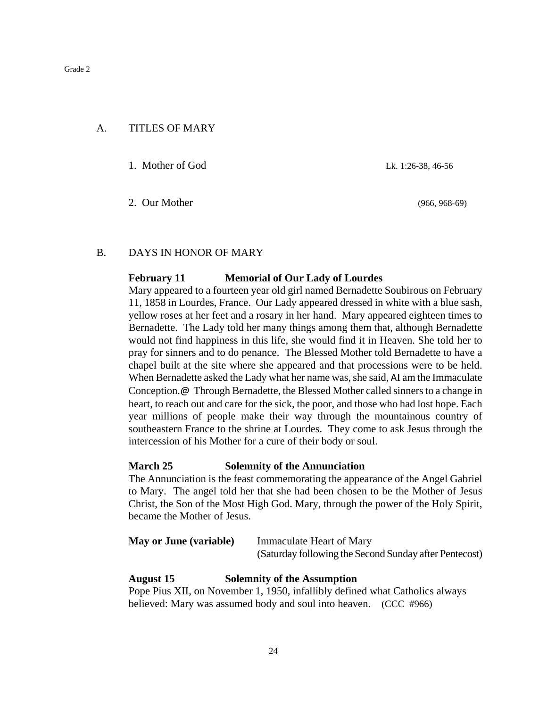#### A. TITLES OF MARY

1. Mother of God Lk. 1:26-38, 46-56

2. Our Mother (966, 968-69)

#### B. DAYS IN HONOR OF MARY

#### **February 11 Memorial of Our Lady of Lourdes**

Mary appeared to a fourteen year old girl named Bernadette Soubirous on February 11, 1858 in Lourdes, France. Our Lady appeared dressed in white with a blue sash, yellow roses at her feet and a rosary in her hand. Mary appeared eighteen times to Bernadette. The Lady told her many things among them that, although Bernadette would not find happiness in this life, she would find it in Heaven. She told her to pray for sinners and to do penance. The Blessed Mother told Bernadette to have a chapel built at the site where she appeared and that processions were to be held. When Bernadette asked the Lady what her name was, she said, AI am the Immaculate Conception.@ Through Bernadette, the Blessed Mother called sinners to a change in heart, to reach out and care for the sick, the poor, and those who had lost hope. Each year millions of people make their way through the mountainous country of southeastern France to the shrine at Lourdes. They come to ask Jesus through the intercession of his Mother for a cure of their body or soul.

#### **March 25 Solemnity of the Annunciation**

The Annunciation is the feast commemorating the appearance of the Angel Gabriel to Mary. The angel told her that she had been chosen to be the Mother of Jesus Christ, the Son of the Most High God. Mary, through the power of the Holy Spirit, became the Mother of Jesus.

| <b>May or June (variable)</b> | <b>Immaculate Heart of Mary</b>                        |
|-------------------------------|--------------------------------------------------------|
|                               | (Saturday following the Second Sunday after Pentecost) |

**August 15 Solemnity of the Assumption** Pope Pius XII, on November 1, 1950, infallibly defined what Catholics always believed: Mary was assumed body and soul into heaven. (CCC #966)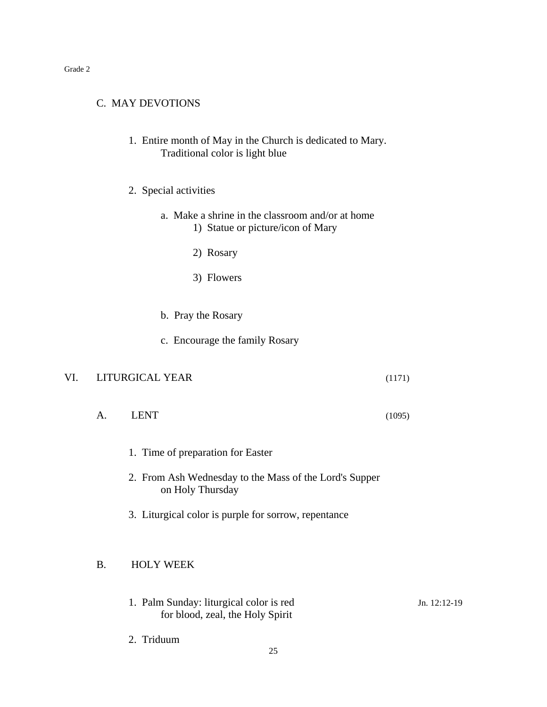#### C. MAY DEVOTIONS

- 1. Entire month of May in the Church is dedicated to Mary. Traditional color is light blue
- 2. Special activities
	- a. Make a shrine in the classroom and/or at home 1) Statue or picture/icon of Mary
		- 2) Rosary
		- 3) Flowers
	- b. Pray the Rosary
	- c. Encourage the family Rosary

#### VI. LITURGICAL YEAR (1171)

- A. LENT (1095)
	- 1. Time of preparation for Easter
	- 2. From Ash Wednesday to the Mass of the Lord's Supper on Holy Thursday
	- 3. Liturgical color is purple for sorrow, repentance

#### B. HOLY WEEK

- 1. Palm Sunday: liturgical color is red Jn. 12:12-19 for blood, zeal, the Holy Spirit
- 2. Triduum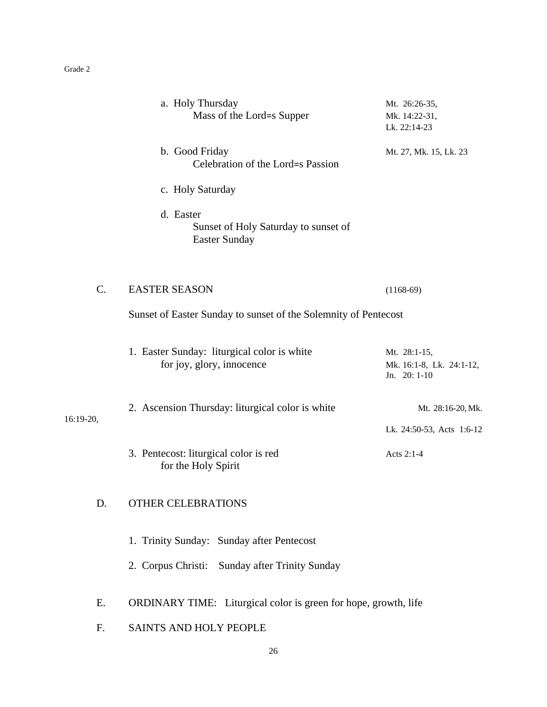|           | a. Holy Thursday<br>Mass of the Lord=s Supper                             | Mt. 26:26-35,<br>Mk. 14:22-31,<br>Lk. 22:14-23           |  |  |
|-----------|---------------------------------------------------------------------------|----------------------------------------------------------|--|--|
|           | b. Good Friday<br>Celebration of the Lord=s Passion                       | Mt. 27, Mk. 15, Lk. 23                                   |  |  |
|           | c. Holy Saturday                                                          |                                                          |  |  |
|           | d. Easter<br>Sunset of Holy Saturday to sunset of<br><b>Easter Sunday</b> |                                                          |  |  |
| $C$ .     | <b>EASTER SEASON</b>                                                      | $(1168-69)$                                              |  |  |
|           | Sunset of Easter Sunday to sunset of the Solemnity of Pentecost           |                                                          |  |  |
|           | 1. Easter Sunday: liturgical color is white<br>for joy, glory, innocence  | Mt. 28:1-15,<br>Mk. 16:1-8, Lk. 24:1-12,<br>Jn. 20: 1-10 |  |  |
| 16:19-20, | 2. Ascension Thursday: liturgical color is white                          | Mt. 28:16-20, Mk.                                        |  |  |
|           |                                                                           | Lk. 24:50-53, Acts 1:6-12                                |  |  |
|           | 3. Pentecost: liturgical color is red<br>for the Holy Spirit              | Acts 2:1-4                                               |  |  |
| D.        | <b>OTHER CELEBRATIONS</b>                                                 |                                                          |  |  |
|           | 1. Trinity Sunday: Sunday after Pentecost                                 |                                                          |  |  |
|           | 2. Corpus Christi: Sunday after Trinity Sunday                            |                                                          |  |  |
| Ε.        | ORDINARY TIME: Liturgical color is green for hope, growth, life           |                                                          |  |  |
| F.        | SAINTS AND HOLY PEOPLE                                                    |                                                          |  |  |
|           |                                                                           |                                                          |  |  |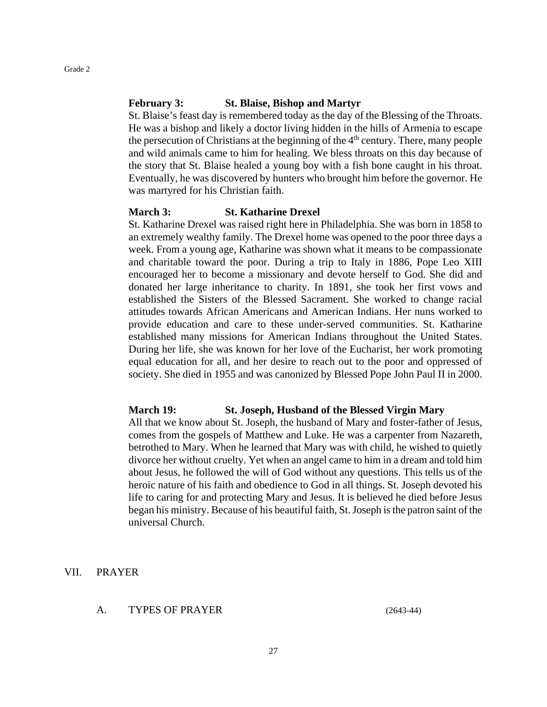#### **February 3: St. Blaise, Bishop and Martyr**

St. Blaise's feast day is remembered today as the day of the Blessing of the Throats. He was a bishop and likely a doctor living hidden in the hills of Armenia to escape the persecution of Christians at the beginning of the  $4<sup>th</sup>$  century. There, many people and wild animals came to him for healing. We bless throats on this day because of the story that St. Blaise healed a young boy with a fish bone caught in his throat. Eventually, he was discovered by hunters who brought him before the governor. He was martyred for his Christian faith.

#### **March 3: St. Katharine Drexel**

St. Katharine Drexel was raised right here in Philadelphia. She was born in 1858 to an extremely wealthy family. The Drexel home was opened to the poor three days a week. From a young age, Katharine was shown what it means to be compassionate and charitable toward the poor. During a trip to Italy in 1886, Pope Leo XIII encouraged her to become a missionary and devote herself to God. She did and donated her large inheritance to charity. In 1891, she took her first vows and established the Sisters of the Blessed Sacrament. She worked to change racial attitudes towards African Americans and American Indians. Her nuns worked to provide education and care to these under-served communities. St. Katharine established many missions for American Indians throughout the United States. During her life, she was known for her love of the Eucharist, her work promoting equal education for all, and her desire to reach out to the poor and oppressed of society. She died in 1955 and was canonized by Blessed Pope John Paul II in 2000.

#### **March 19: St. Joseph, Husband of the Blessed Virgin Mary**

All that we know about St. Joseph, the husband of Mary and foster-father of Jesus, comes from the gospels of Matthew and Luke. He was a carpenter from Nazareth, betrothed to Mary. When he learned that Mary was with child, he wished to quietly divorce her without cruelty. Yet when an angel came to him in a dream and told him about Jesus, he followed the will of God without any questions. This tells us of the heroic nature of his faith and obedience to God in all things. St. Joseph devoted his life to caring for and protecting Mary and Jesus. It is believed he died before Jesus began his ministry. Because of his beautiful faith, St. Joseph is the patron saint of the universal Church.

#### VII. PRAYER

A. TYPES OF PRAYER (2643-44)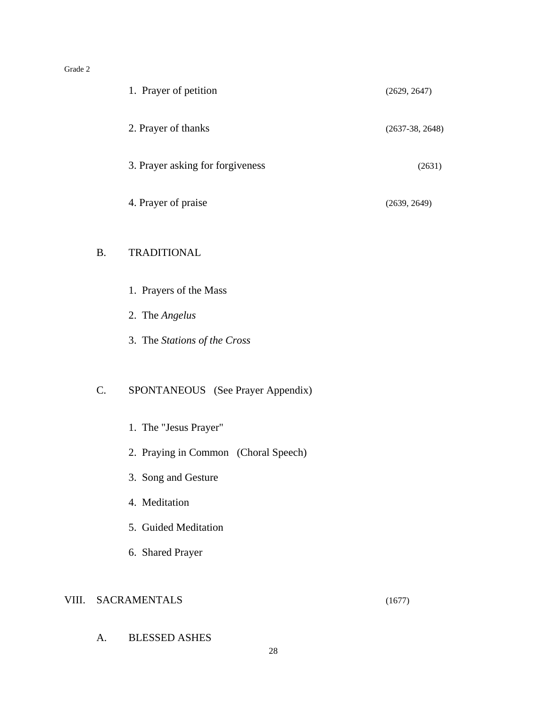|    | 1. Prayer of petition             | (2629, 2647)      |
|----|-----------------------------------|-------------------|
|    | 2. Prayer of thanks               | $(2637-38, 2648)$ |
|    | 3. Prayer asking for forgiveness  | (2631)            |
|    | 4. Prayer of praise               | (2639, 2649)      |
| B. | <b>TRADITIONAL</b>                |                   |
|    | 1. Prayers of the Mass            |                   |
|    | 2. The Angelus                    |                   |
|    | 3. The Stations of the Cross      |                   |
| C. | SPONTANEOUS (See Prayer Appendix) |                   |
|    | 1. The "Jesus Prayer"             |                   |

- 2. Praying in Common (Choral Speech)
- 3. Song and Gesture
- 4. Meditation
- 5. Guided Meditation
- 6. Shared Prayer

#### VIII. SACRAMENTALS (1677)

A. BLESSED ASHES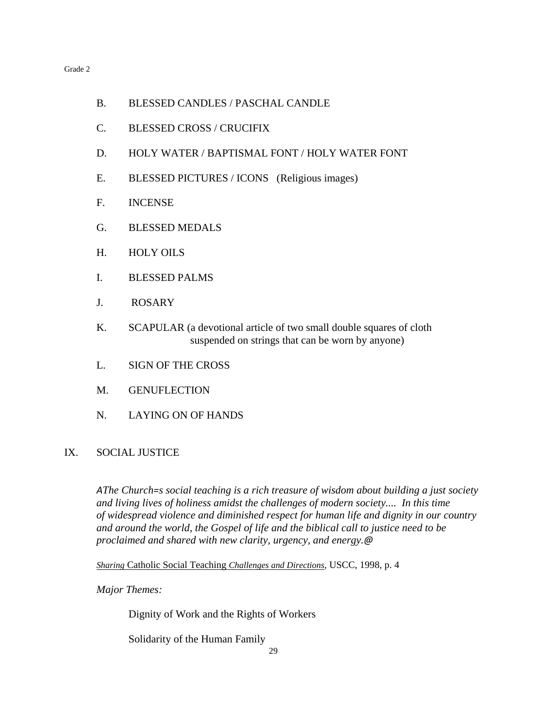- B. BLESSED CANDLES / PASCHAL CANDLE
- C. BLESSED CROSS / CRUCIFIX
- D. HOLY WATER / BAPTISMAL FONT / HOLY WATER FONT
- E. BLESSED PICTURES / ICONS (Religious images)
- F. INCENSE
- G. BLESSED MEDALS
- H. HOLY OILS
- I. BLESSED PALMS
- J. ROSARY
- K. SCAPULAR (a devotional article of two small double squares of cloth suspended on strings that can be worn by anyone)
- L. SIGN OF THE CROSS
- M. GENUFLECTION
- N. LAYING ON OF HANDS

#### IX. SOCIAL JUSTICE

*AThe Church=s social teaching is a rich treasure of wisdom about building a just society and living lives of holiness amidst the challenges of modern society.... In this time of widespread violence and diminished respect for human life and dignity in our country and around the world, the Gospel of life and the biblical call to justice need to be proclaimed and shared with new clarity, urgency, and energy.@*

*Sharing* Catholic Social Teaching *Challenges and Directions*, USCC, 1998, p. 4

*Major Themes:*

Dignity of Work and the Rights of Workers

Solidarity of the Human Family